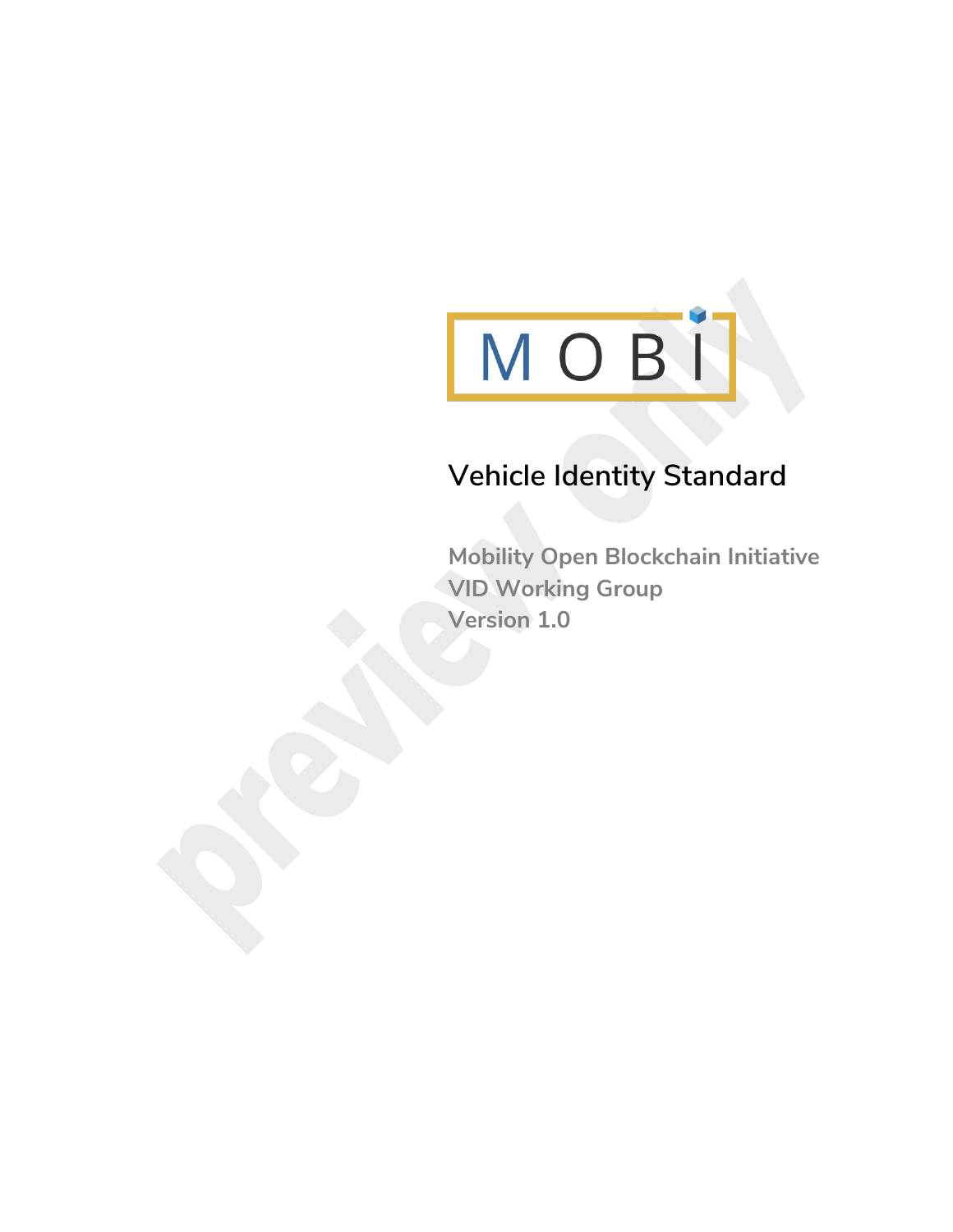

## **Vehicle Identity Standard**

**Mobility Open Blockchain Initiative VID Working Group Version 1.0**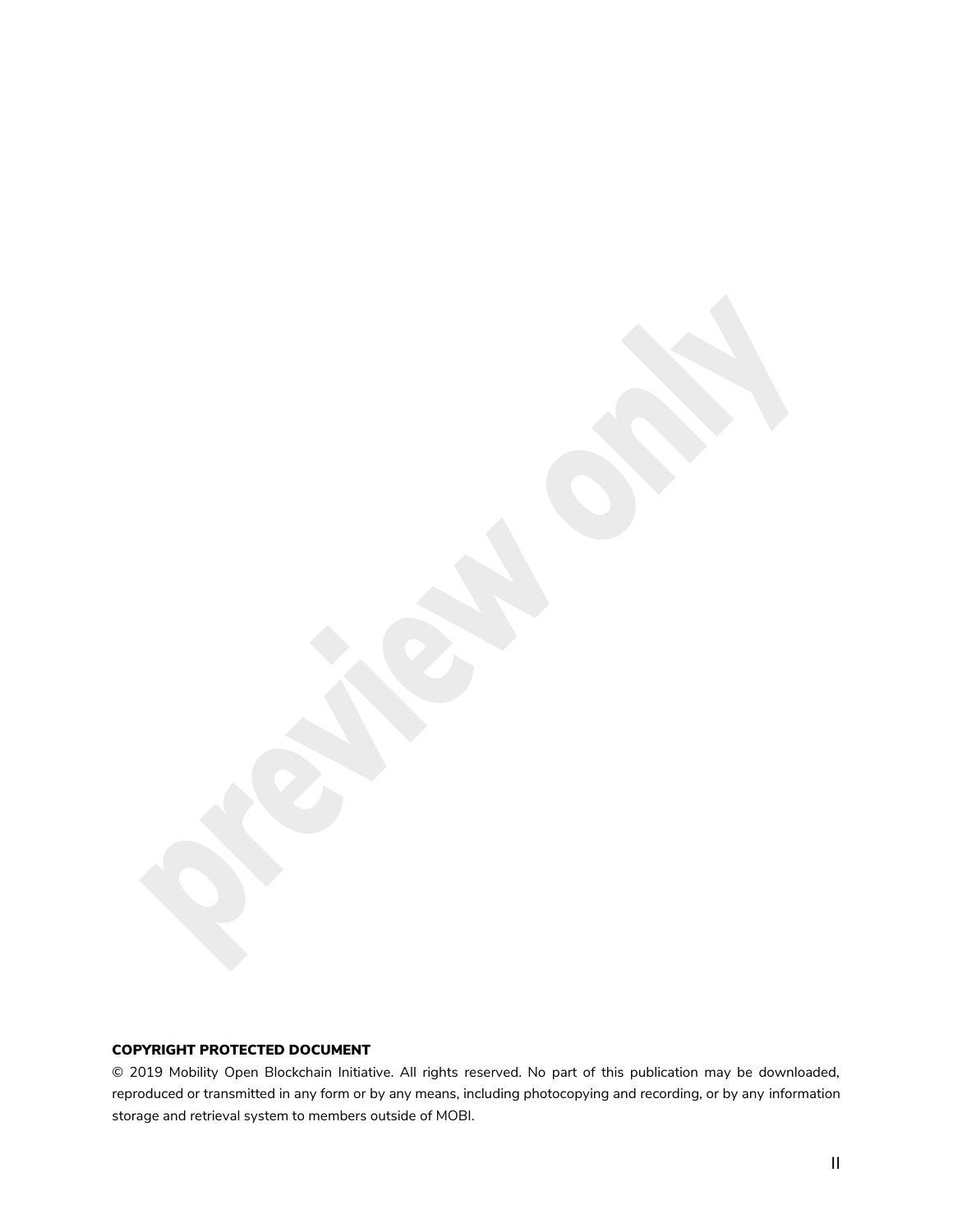#### COPYRIGHT PROTECTED DOCUMENT

© 2019 Mobility Open Blockchain Initiative. All rights reserved. No part of this publication may be downloaded, reproduced or transmitted in any form or by any means, including photocopying and recording, or by any information storage and retrieval system to members outside of MOBI.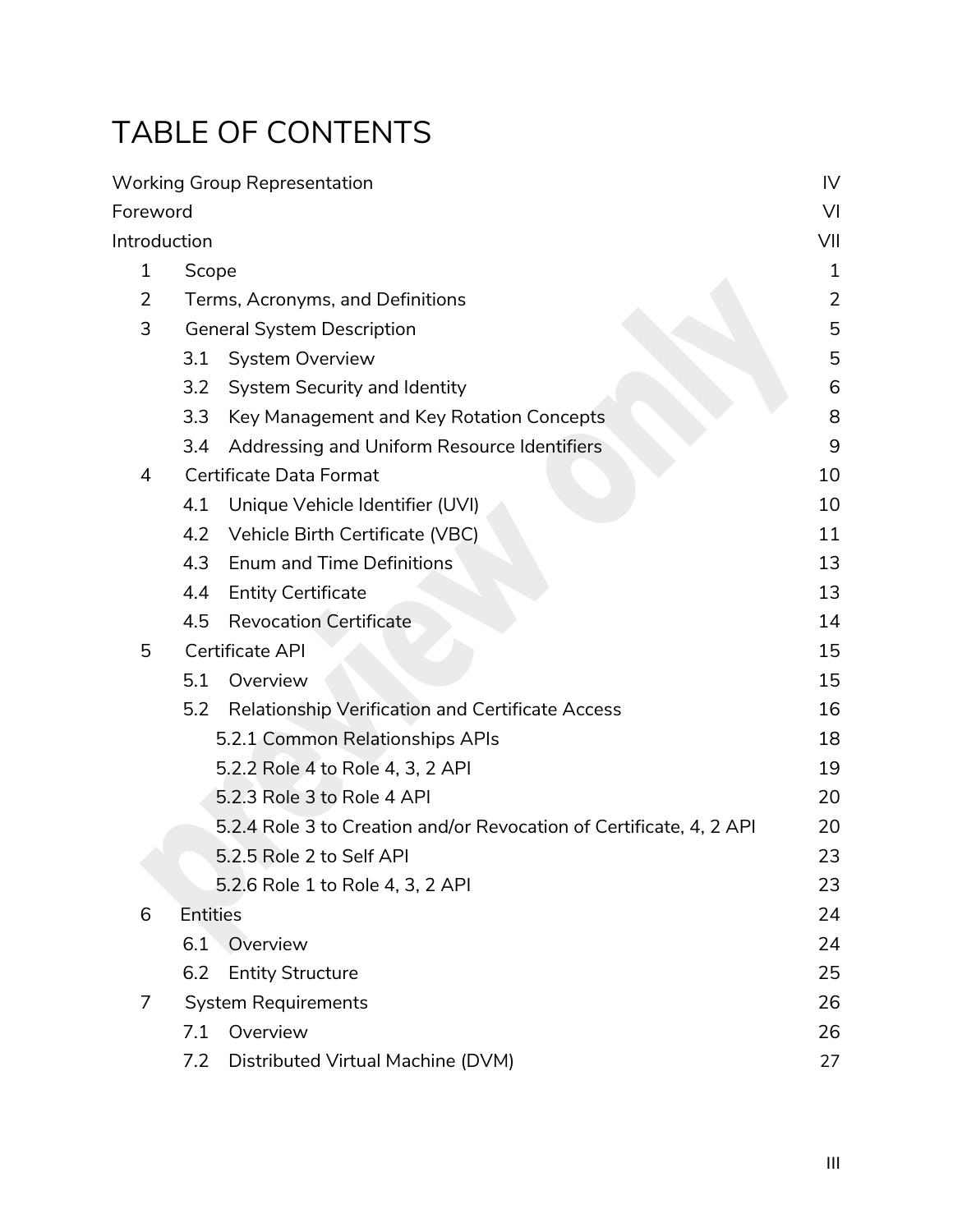# TABLE OF CONTENTS

|                |                                                                     | <b>Working Group Representation</b>              | IV             |
|----------------|---------------------------------------------------------------------|--------------------------------------------------|----------------|
| Foreword       |                                                                     |                                                  | V <sub>l</sub> |
| Introduction   |                                                                     |                                                  | VII            |
| $\mathbf{1}$   |                                                                     | Scope                                            |                |
| $\overline{2}$ | Terms, Acronyms, and Definitions                                    |                                                  | $\overline{2}$ |
| 3              | <b>General System Description</b>                                   |                                                  | 5              |
|                | 3.1                                                                 | <b>System Overview</b>                           | 5              |
|                | 3.2                                                                 | System Security and Identity                     | 6              |
|                | 3.3                                                                 | Key Management and Key Rotation Concepts         | 8              |
|                | 3.4                                                                 | Addressing and Uniform Resource Identifiers      | 9              |
| 4              | Certificate Data Format                                             |                                                  | 10             |
|                | 4.1                                                                 | Unique Vehicle Identifier (UVI)                  | 10             |
|                | 4.2                                                                 | Vehicle Birth Certificate (VBC)                  | 11             |
|                | 4.3                                                                 | <b>Enum and Time Definitions</b>                 | 13             |
|                | 4.4                                                                 | <b>Entity Certificate</b>                        | 13             |
|                | 4.5                                                                 | <b>Revocation Certificate</b>                    | 14             |
| 5              | Certificate API                                                     |                                                  | 15             |
|                | 5.1                                                                 | Overview                                         | 15             |
|                | 5.2                                                                 | Relationship Verification and Certificate Access | 16             |
|                | 5.2.1 Common Relationships APIs                                     |                                                  | 18             |
|                | 5.2.2 Role 4 to Role 4, 3, 2 API                                    |                                                  | 19             |
|                | 5.2.3 Role 3 to Role 4 API                                          |                                                  | 20             |
|                | 5.2.4 Role 3 to Creation and/or Revocation of Certificate, 4, 2 API |                                                  | 20             |
|                |                                                                     | 5.2.5 Role 2 to Self API                         | 23             |
|                | 5.2.6 Role 1 to Role 4, 3, 2 API                                    |                                                  | 23             |
| 6              | <b>Entities</b>                                                     |                                                  | 24             |
|                | 6.1                                                                 | Overview                                         | 24             |
|                | 6.2                                                                 | <b>Entity Structure</b>                          | 25             |
| 7              | <b>System Requirements</b>                                          |                                                  | 26             |
|                | Overview<br>7.1                                                     |                                                  | 26             |
|                | 7.2                                                                 | Distributed Virtual Machine (DVM)                | 27             |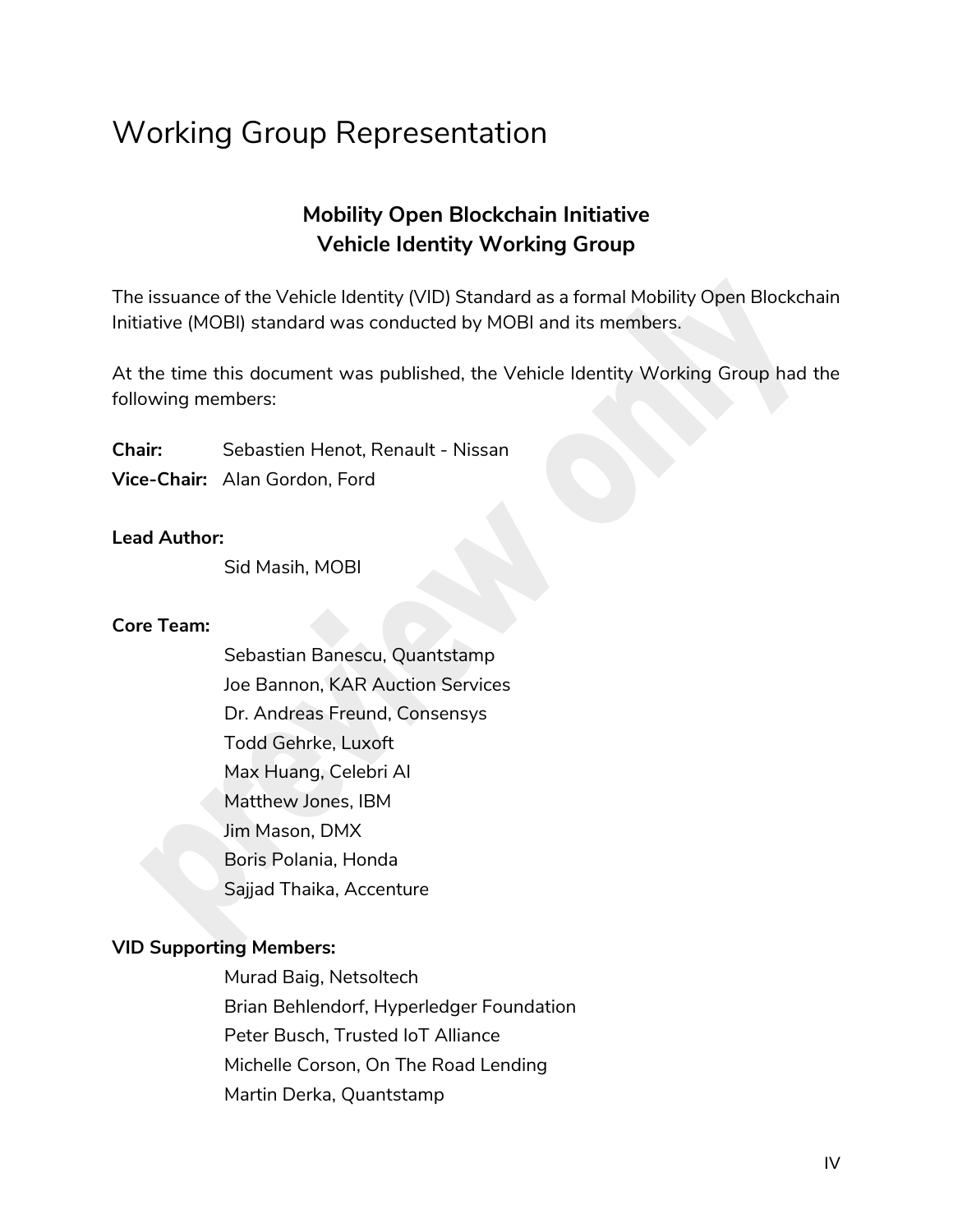### <span id="page-3-0"></span>Working Group Representation

### **Mobility Open Blockchain Initiative Vehicle Identity Working Group**

The issuance of the Vehicle Identity (VID) Standard as a formal Mobility Open Blockchain Initiative (MOBI) standard was conducted by MOBI and its members.

At the time this document was published, the Vehicle Identity Working Group had the following members:

**Chair:** Sebastien Henot, Renault - Nissan **Vice-Chair:** Alan Gordon, Ford

#### **Lead Author:**

Sid Masih, MOBI

#### **Core Team:**

Sebastian Banescu, Quantstamp Joe Bannon, KAR Auction Services Dr. Andreas Freund, Consensys Todd Gehrke, Luxoft Max Huang, Celebri AI Matthew Jones, IBM Jim Mason, DMX Boris Polania, Honda Sajjad Thaika, Accenture

#### **VID Supporting Members:**

Murad Baig, Netsoltech Brian Behlendorf, Hyperledger Foundation Peter Busch, Trusted IoT Alliance Michelle Corson, On The Road Lending Martin Derka, Quantstamp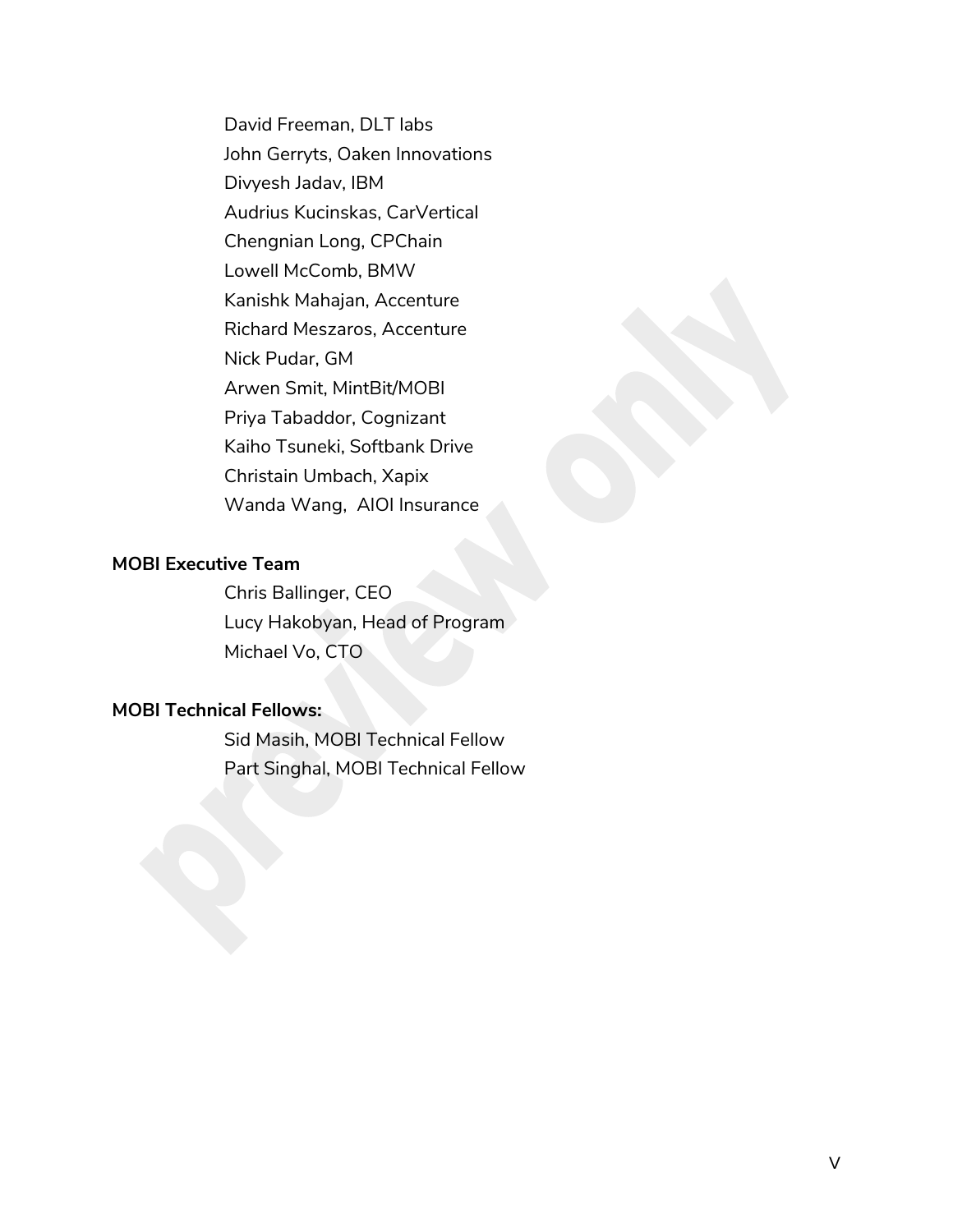David Freeman, DLT labs John Gerryts, Oaken Innovations Divyesh Jadav, IBM Audrius Kucinskas, CarVertical Chengnian Long, CPChain Lowell McComb, BMW Kanishk Mahajan, Accenture Richard Meszaros, Accenture Nick Pudar, GM Arwen Smit, MintBit/MOBI Priya Tabaddor, Cognizant Kaiho Tsuneki, Softbank Drive Christain Umbach, Xapix Wanda Wang, AIOI Insurance

#### **MOBI Executive Team**

Chris Ballinger, CEO Lucy Hakobyan, Head of Program Michael Vo, CTO

#### <span id="page-4-0"></span>**MOBI Technical Fellows:**

Sid Masih, MOBI Technical Fellow Part Singhal, MOBI Technical Fellow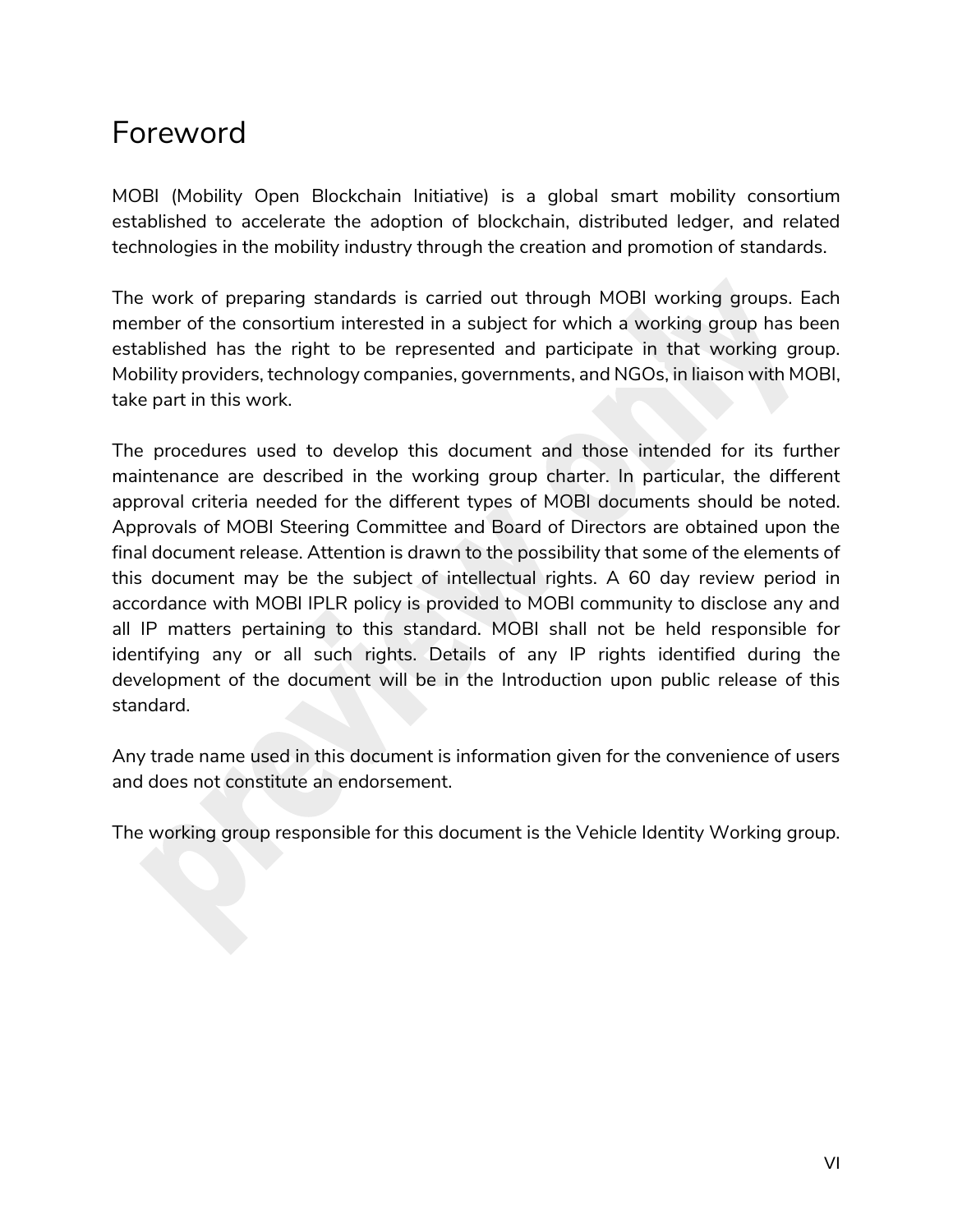### Foreword

MOBI (Mobility Open Blockchain Initiative) is a global smart mobility consortium established to accelerate the adoption of blockchain, distributed ledger, and related technologies in the mobility industry through the creation and promotion of standards.

The work of preparing standards is carried out through MOBI working groups. Each member of the consortium interested in a subject for which a working group has been established has the right to be represented and participate in that working group. Mobility providers, technology companies, governments, and NGOs, in liaison with MOBI, take part in this work.

The procedures used to develop this document and those intended for its further maintenance are described in the working group charter. In particular, the different approval criteria needed for the different types of MOBI documents should be noted. Approvals of MOBI Steering Committee and Board of Directors are obtained upon the final document release. Attention is drawn to the possibility that some of the elements of this document may be the subject of intellectual rights. A 60 day review period in accordance with MOBI IPLR policy is provided to MOBI community to disclose any and all IP matters pertaining to this standard. MOBI shall not be held responsible for identifying any or all such rights. Details of any IP rights identified during the development of the document will be in the Introduction upon public release of this standard.

Any trade name used in this document is information given for the convenience of users and does not constitute an endorsement.

The working group responsible for this document is the Vehicle Identity Working group.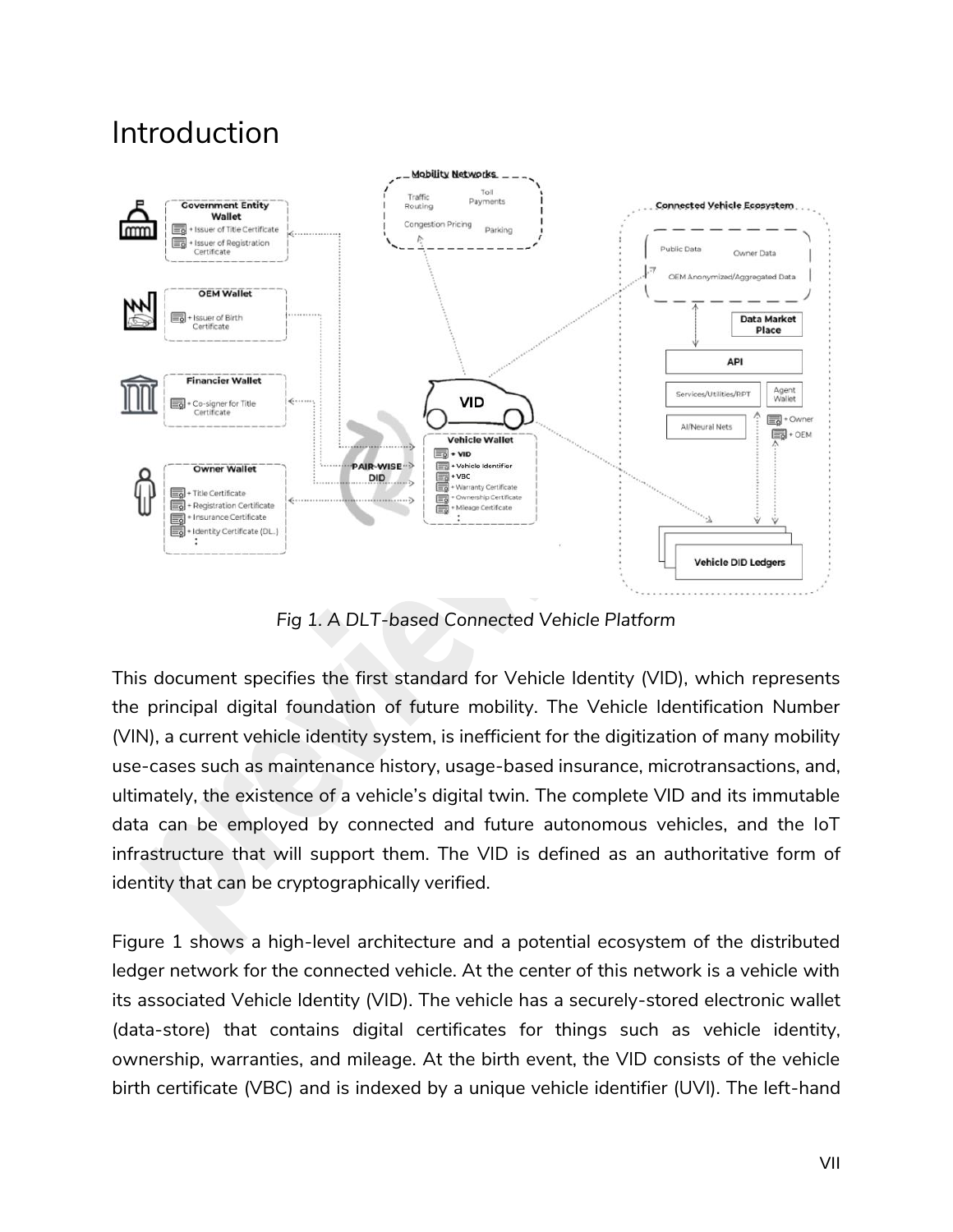### <span id="page-6-0"></span>Introduction



*Fig 1. A DLT-based Connected Vehicle Platform*

This document specifies the first standard for Vehicle Identity (VID), which represents the principal digital foundation of future mobility. The Vehicle Identification Number (VIN), a current vehicle identity system, is inefficient for the digitization of many mobility use-cases such as maintenance history, usage-based insurance, microtransactions, and, ultimately, the existence of a vehicle's digital twin. The complete VID and its immutable data can be employed by connected and future autonomous vehicles, and the IoT infrastructure that will support them. The VID is defined as an authoritative form of identity that can be cryptographically verified.

Figure 1 shows a high-level architecture and a potential ecosystem of the distributed ledger network for the connected vehicle. At the center of this network is a vehicle with its associated Vehicle Identity (VID). The vehicle has a securely-stored electronic wallet (data-store) that contains digital certificates for things such as vehicle identity, ownership, warranties, and mileage. At the birth event, the VID consists of the vehicle birth certificate (VBC) and is indexed by a unique vehicle identifier (UVI). The left-hand